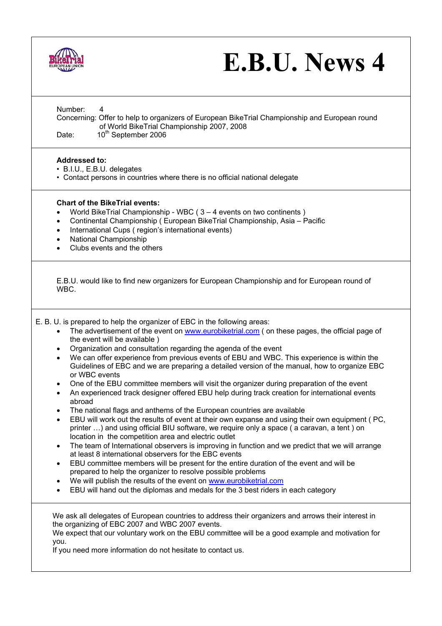

## **E.B.U. News 4**

| Number:<br>4<br>Concerning: Offer to help to organizers of European BikeTrial Championship and European round<br>of World BikeTrial Championship 2007, 2008<br>10 <sup>th</sup> September 2006<br>Date:                                                                                                                                                                                                                                                                                                                                                                                                                                                                                                                                                                                                                                                                                                                                                                                                                                                                                                                                                                                                                                                                                                                                                                                                                                                                                                                                                                       |
|-------------------------------------------------------------------------------------------------------------------------------------------------------------------------------------------------------------------------------------------------------------------------------------------------------------------------------------------------------------------------------------------------------------------------------------------------------------------------------------------------------------------------------------------------------------------------------------------------------------------------------------------------------------------------------------------------------------------------------------------------------------------------------------------------------------------------------------------------------------------------------------------------------------------------------------------------------------------------------------------------------------------------------------------------------------------------------------------------------------------------------------------------------------------------------------------------------------------------------------------------------------------------------------------------------------------------------------------------------------------------------------------------------------------------------------------------------------------------------------------------------------------------------------------------------------------------------|
| <b>Addressed to:</b><br>· B.I.U., E.B.U. delegates<br>• Contact persons in countries where there is no official national delegate                                                                                                                                                                                                                                                                                                                                                                                                                                                                                                                                                                                                                                                                                                                                                                                                                                                                                                                                                                                                                                                                                                                                                                                                                                                                                                                                                                                                                                             |
| <b>Chart of the BikeTrial events:</b><br>World BikeTrial Championship - WBC (3 - 4 events on two continents)<br>Continental Championship (European BikeTrial Championship, Asia - Pacific<br>٠<br>International Cups (region's international events)<br>$\bullet$<br>National Championship<br>٠<br>Clubs events and the others                                                                                                                                                                                                                                                                                                                                                                                                                                                                                                                                                                                                                                                                                                                                                                                                                                                                                                                                                                                                                                                                                                                                                                                                                                                |
| E.B.U. would like to find new organizers for European Championship and for European round of<br>WBC.                                                                                                                                                                                                                                                                                                                                                                                                                                                                                                                                                                                                                                                                                                                                                                                                                                                                                                                                                                                                                                                                                                                                                                                                                                                                                                                                                                                                                                                                          |
| E. B. U. is prepared to help the organizer of EBC in the following areas:<br>The advertisement of the event on www.eurobiketrial.com (on these pages, the official page of<br>$\bullet$<br>the event will be available)<br>Organization and consultation regarding the agenda of the event<br>$\bullet$<br>We can offer experience from previous events of EBU and WBC. This experience is within the<br>$\bullet$<br>Guidelines of EBC and we are preparing a detailed version of the manual, how to organize EBC<br>or WBC events<br>One of the EBU committee members will visit the organizer during preparation of the event<br>$\bullet$<br>An experienced track designer offered EBU help during track creation for international events<br>٠<br>abroad<br>The national flags and anthems of the European countries are available<br>EBU will work out the results of event at their own expanse and using their own equipment (PC,<br>printer ) and using official BIU software, we require only a space (a caravan, a tent) on<br>location in the competition area and electric outlet<br>The team of International observers is improving in function and we predict that we will arrange<br>at least 8 international observers for the EBC events<br>EBU committee members will be present for the entire duration of the event and will be<br>prepared to help the organizer to resolve possible problems<br>We will publish the results of the event on www.eurobiketrial.com<br>EBU will hand out the diplomas and medals for the 3 best riders in each category |
| We ask all delegates of European countries to address their organizers and arrows their interest in<br>the organizing of EBC 2007 and WBC 2007 events.<br>We expect that our voluntary work on the EBU committee will be a good example and motivation for<br>you.<br>If you need more information do not hesitate to contact us.                                                                                                                                                                                                                                                                                                                                                                                                                                                                                                                                                                                                                                                                                                                                                                                                                                                                                                                                                                                                                                                                                                                                                                                                                                             |